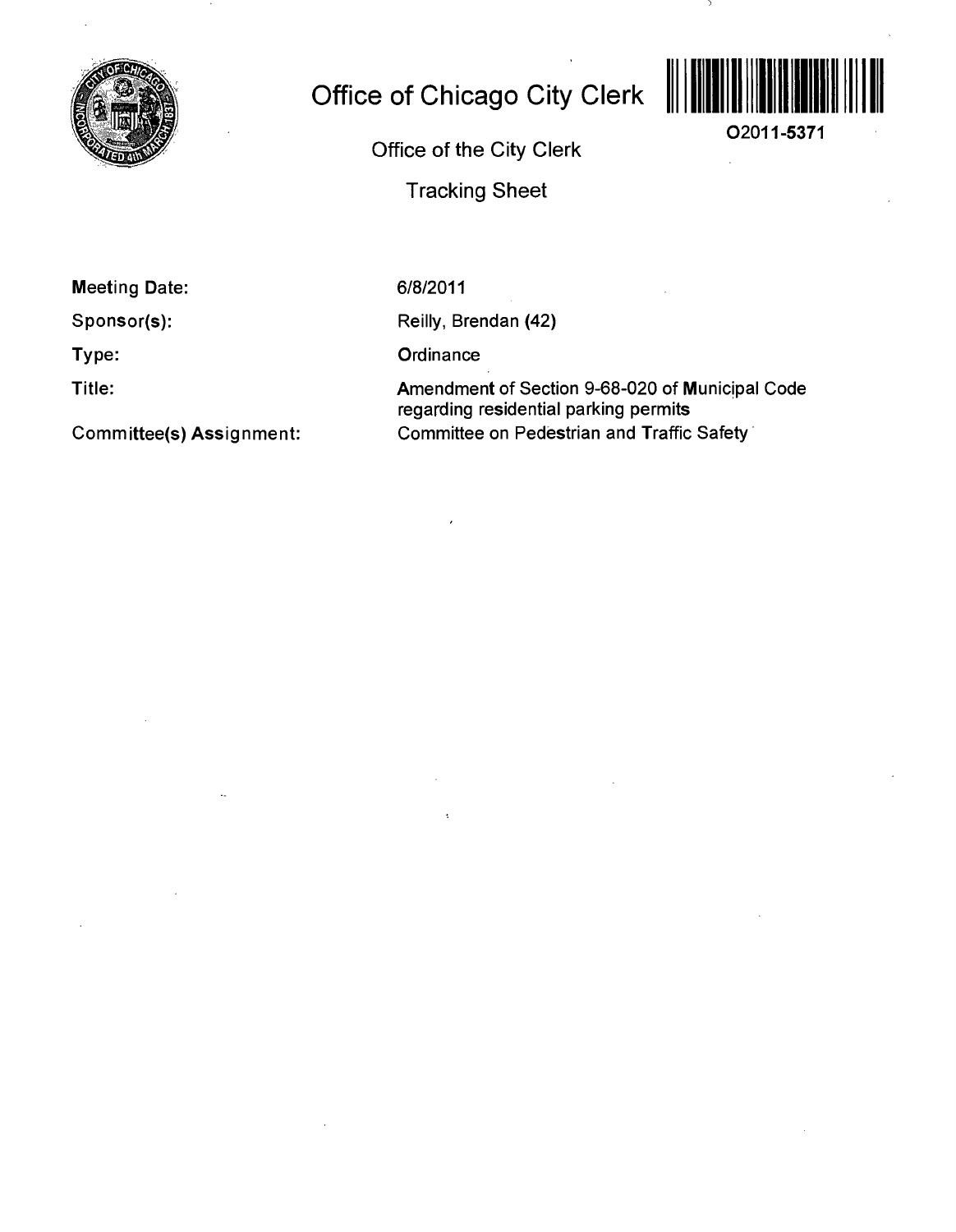

## **Office of Chicago City Clerk**

**O2011-5371** 

Office of the City Clerk

Tracking Sheet

**Meeting Date:** 

**Sponsor(s):** 

**Type:** 

**Title:** 

**Committee(s) Assignment:** 

6/8/2011

Reilly, Brendan (42)

**Ordinance** 

Amendment of Section 9-68-020 of Municipal Code regarding residential parking permits Committee on Pedestrian and Traffic Safety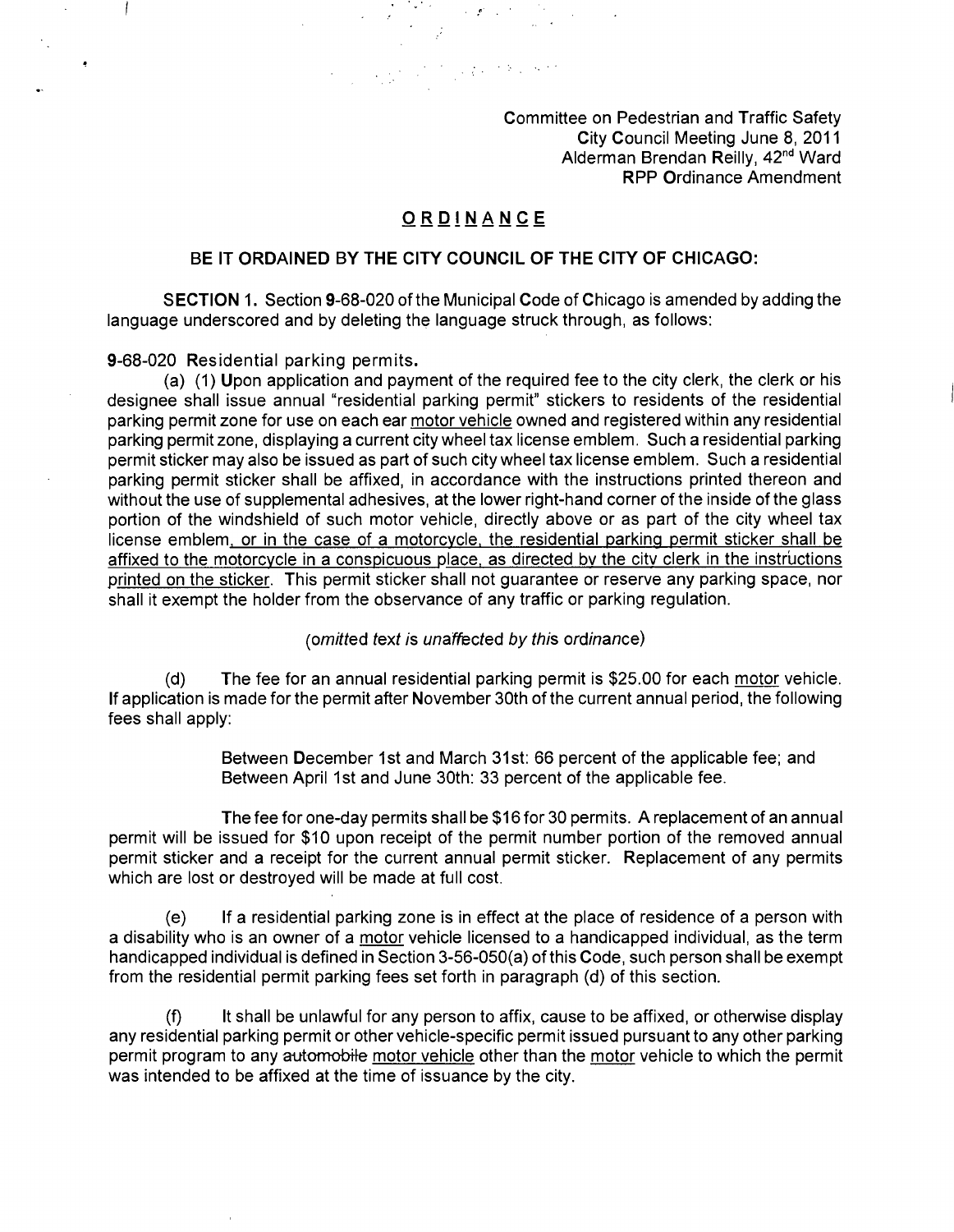Committee on Pedestrian and Traffic Safety City Council Meeting June 8, 2011 Alderman Brendan Reilly, 42<sup>nd</sup> Ward RPP Ordinance Amendment

## **ORDINANC E**

 $\label{eq:2.1} \mathcal{L}_{\text{max}} = \frac{1}{2} \sum_{i=1}^{N} \frac{1}{2} \sum_{i=1}^{N} \frac{1}{2} \sum_{i=1}^{N} \frac{1}{2} \sum_{i=1}^{N} \frac{1}{2} \sum_{i=1}^{N} \frac{1}{2} \sum_{i=1}^{N} \frac{1}{2} \sum_{i=1}^{N} \frac{1}{2} \sum_{i=1}^{N} \frac{1}{2} \sum_{i=1}^{N} \frac{1}{2} \sum_{i=1}^{N} \frac{1}{2} \sum_{i=1}^{N} \frac{1}{2} \sum_{i=$ 

## **BE IT ORDAINED BY THE CITY COUNCIL OF THE CITY OF CHICAGO:**

SECTION 1. Section 9-68-020 ofthe Municipal Code of Chicago is amended by adding the language underscored and by deleting the language struck through, as follows:

**9-68-020 Residential parking permits.** 

(a) (1) Upon application and payment of the required fee to the city clerk, the clerk or his designee shall issue annual "residential parking permit" stickers to residents of the residential parking permit zone for use on each ear motor vehicle owned and registered within any residential parking permit zone, displaying a current city wheel tax license emblem. Such a residential parking permit sticker may also be issued as part of such city wheel tax license emblem. Such a residential parking permit sticker shall be affixed, in accordance with the instructions printed thereon and without the use of supplemental adhesives, at the lower right-hand corner of the inside of the glass portion of the windshield of such motor vehicle, directly above or as part of the city wheel tax license emblem, or in the case of a motorcycle, the residential parking permit sticker shall be affixed to the motorcycle in a conspicuous place, as directed by the city clerk in the instructions printed on the sticker. This permit sticker shall not guarantee or reserve any parking space, nor shall it exempt the holder from the observance of any traffic or parking regulation.

(omitted text is unaffected by this ordinance)

(d) The fee for an annual residential parking permit is \$25.00 for each motor vehicle. If application is made for the permit after November 30th of the current annual period, the following fees shall apply:

> Between December 1st and March 31st: 66 percent of the applicable fee; and Between April 1st and June 30th: 33 percent of the applicable fee.

The fee for one-day permits shall be \$16 for 30 permits. A replacement of an annual permit will be issued for \$10 upon receipt of the permit number portion of the removed annual permit sticker and a receipt for the current annual permit sticker. Replacement of any permits which are lost or destroyed will be made at full cost.

(e) If a residential parking zone is in effect at the place of residence of a person with a disability who is an owner of a motor vehicle licensed to a handicapped individual, as the term handicapped individual is defined in Section 3-56-050(a) of this Code, such person shall be exempt from the residential permit parking fees set forth in paragraph (d) of this section.

(f) It shall be unlawful for any person to affix, cause to be affixed, or otherwise display any residential parking permit or other vehicle-specific permit issued pursuant to any other parking permit program to any automobile motor vehicle other than the motor vehicle to which the permit was intended to be affixed at the time of issuance by the city.